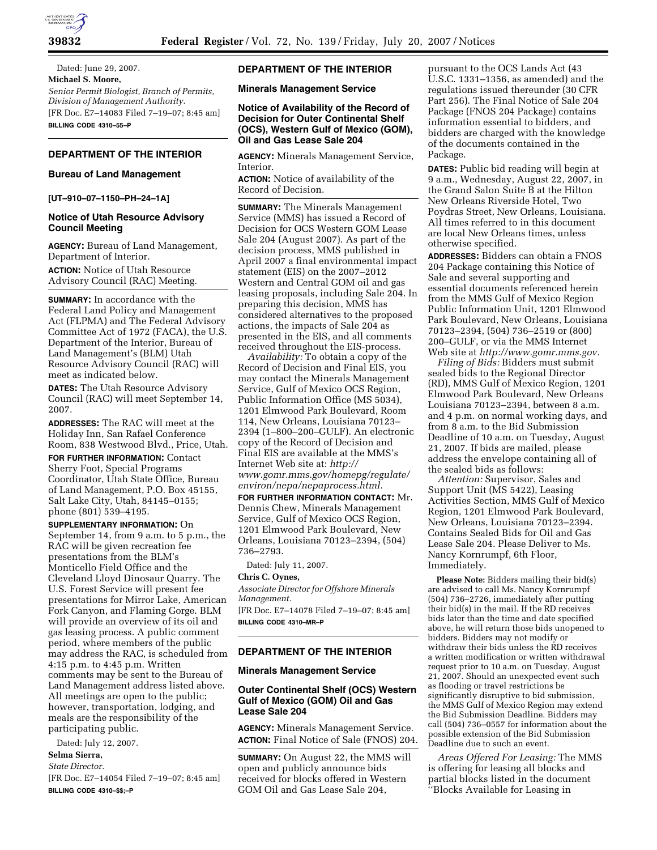

Dated: June 29, 2007. **Michael S. Moore,**  *Senior Permit Biologist, Branch of Permits, Division of Management Authority.*  [FR Doc. E7–14083 Filed 7–19–07; 8:45 am] **BILLING CODE 4310–55–P** 

# **DEPARTMENT OF THE INTERIOR**

### **Bureau of Land Management**

#### **[UT–910–07–1150–PH–24–1A]**

#### **Notice of Utah Resource Advisory Council Meeting**

**AGENCY:** Bureau of Land Management, Department of Interior.

**ACTION:** Notice of Utah Resource Advisory Council (RAC) Meeting.

**SUMMARY:** In accordance with the Federal Land Policy and Management Act (FLPMA) and The Federal Advisory Committee Act of 1972 (FACA), the U.S. Department of the Interior, Bureau of Land Management's (BLM) Utah Resource Advisory Council (RAC) will meet as indicated below.

**DATES:** The Utah Resource Advisory Council (RAC) will meet September 14, 2007.

**ADDRESSES:** The RAC will meet at the Holiday Inn, San Rafael Conference Room, 838 Westwood Blvd., Price, Utah.

**FOR FURTHER INFORMATION:** Contact Sherry Foot, Special Programs Coordinator, Utah State Office, Bureau of Land Management, P.O. Box 45155, Salt Lake City, Utah, 84145–0155; phone (801) 539–4195.

**SUPPLEMENTARY INFORMATION:** On September 14, from 9 a.m. to 5 p.m., the RAC will be given recreation fee presentations from the BLM's Monticello Field Office and the Cleveland Lloyd Dinosaur Quarry. The U.S. Forest Service will present fee presentations for Mirror Lake, American Fork Canyon, and Flaming Gorge. BLM will provide an overview of its oil and gas leasing process. A public comment period, where members of the public may address the RAC, is scheduled from 4:15 p.m. to 4:45 p.m. Written comments may be sent to the Bureau of Land Management address listed above. All meetings are open to the public; however, transportation, lodging, and meals are the responsibility of the participating public.

Dated: July 12, 2007.

# **Selma Sierra,**

*State Director.* 

[FR Doc. E7–14054 Filed 7–19–07; 8:45 am] **BILLING CODE 4310–\$\$;–P** 

# **DEPARTMENT OF THE INTERIOR**

**Minerals Management Service** 

## **Notice of Availability of the Record of Decision for Outer Continental Shelf (OCS), Western Gulf of Mexico (GOM), Oil and Gas Lease Sale 204**

**AGENCY:** Minerals Management Service, Interior.

**ACTION:** Notice of availability of the Record of Decision.

**SUMMARY:** The Minerals Management Service (MMS) has issued a Record of Decision for OCS Western GOM Lease Sale 204 (August 2007). As part of the decision process, MMS published in April 2007 a final environmental impact statement (EIS) on the 2007–2012 Western and Central GOM oil and gas leasing proposals, including Sale 204. In preparing this decision, MMS has considered alternatives to the proposed actions, the impacts of Sale 204 as presented in the EIS, and all comments received throughout the EIS-process.

*Availability:* To obtain a copy of the Record of Decision and Final EIS, you may contact the Minerals Management Service, Gulf of Mexico OCS Region, Public Information Office (MS 5034), 1201 Elmwood Park Boulevard, Room 114, New Orleans, Louisiana 70123– 2394 (1–800–200–GULF). An electronic copy of the Record of Decision and Final EIS are available at the MMS's Internet Web site at: *http:// www.gomr.mms.gov/homepg/regulate/ environ/nepa/nepaprocess.html.* 

**FOR FURTHER INFORMATION CONTACT:** Mr. Dennis Chew, Minerals Management Service, Gulf of Mexico OCS Region, 1201 Elmwood Park Boulevard, New Orleans, Louisiana 70123–2394, (504) 736–2793.

Dated: July 11, 2007.

# **Chris C. Oynes,**

*Associate Director for Offshore Minerals Management.* 

[FR Doc. E7–14078 Filed 7–19–07; 8:45 am] **BILLING CODE 4310–MR–P** 

## **DEPARTMENT OF THE INTERIOR**

# **Minerals Management Service**

#### **Outer Continental Shelf (OCS) Western Gulf of Mexico (GOM) Oil and Gas Lease Sale 204**

**AGENCY:** Minerals Management Service. **ACTION:** Final Notice of Sale (FNOS) 204.

**SUMMARY:** On August 22, the MMS will open and publicly announce bids received for blocks offered in Western GOM Oil and Gas Lease Sale 204,

pursuant to the OCS Lands Act (43 U.S.C. 1331–1356, as amended) and the regulations issued thereunder (30 CFR Part 256). The Final Notice of Sale 204 Package (FNOS 204 Package) contains information essential to bidders, and bidders are charged with the knowledge of the documents contained in the Package.

**DATES:** Public bid reading will begin at 9 a.m., Wednesday, August 22, 2007, in the Grand Salon Suite B at the Hilton New Orleans Riverside Hotel, Two Poydras Street, New Orleans, Louisiana. All times referred to in this document are local New Orleans times, unless otherwise specified.

**ADDRESSES:** Bidders can obtain a FNOS 204 Package containing this Notice of Sale and several supporting and essential documents referenced herein from the MMS Gulf of Mexico Region Public Information Unit, 1201 Elmwood Park Boulevard, New Orleans, Louisiana 70123–2394, (504) 736–2519 or (800) 200–GULF, or via the MMS Internet Web site at *http://www.gomr.mms.gov.* 

*Filing of Bids:* Bidders must submit sealed bids to the Regional Director (RD), MMS Gulf of Mexico Region, 1201 Elmwood Park Boulevard, New Orleans Louisiana 70123–2394, between 8 a.m. and 4 p.m. on normal working days, and from 8 a.m. to the Bid Submission Deadline of 10 a.m. on Tuesday, August 21, 2007. If bids are mailed, please address the envelope containing all of the sealed bids as follows:

*Attention:* Supervisor, Sales and Support Unit (MS 5422), Leasing Activities Section, MMS Gulf of Mexico Region, 1201 Elmwood Park Boulevard, New Orleans, Louisiana 70123–2394. Contains Sealed Bids for Oil and Gas Lease Sale 204. Please Deliver to Ms. Nancy Kornrumpf, 6th Floor, Immediately.

Please Note: Bidders mailing their bid(s) are advised to call Ms. Nancy Kornrumpf (504) 736–2726, immediately after putting their bid(s) in the mail. If the RD receives bids later than the time and date specified above, he will return those bids unopened to bidders. Bidders may not modify or withdraw their bids unless the RD receives a written modification or written withdrawal request prior to 10 a.m. on Tuesday, August 21, 2007. Should an unexpected event such as flooding or travel restrictions be significantly disruptive to bid submission, the MMS Gulf of Mexico Region may extend the Bid Submission Deadline. Bidders may call (504) 736–0557 for information about the possible extension of the Bid Submission Deadline due to such an event.

*Areas Offered For Leasing:* The MMS is offering for leasing all blocks and partial blocks listed in the document ''Blocks Available for Leasing in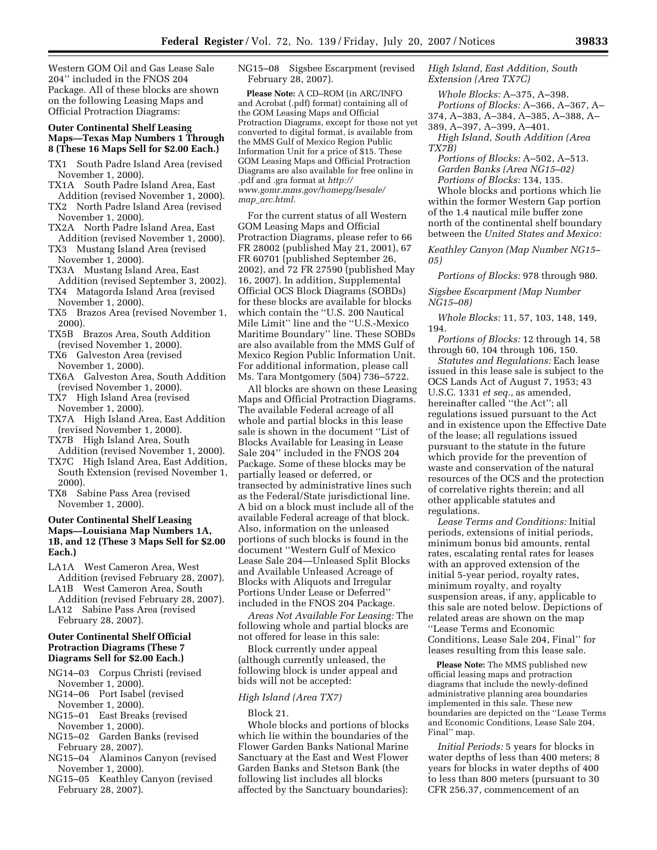Western GOM Oil and Gas Lease Sale 204'' included in the FNOS 204 Package. All of these blocks are shown on the following Leasing Maps and Official Protraction Diagrams:

#### **Outer Continental Shelf Leasing Maps—Texas Map Numbers 1 Through 8 (These 16 Maps Sell for \$2.00 Each.)**

- TX1 South Padre Island Area (revised November 1, 2000).
- TX1A South Padre Island Area, East Addition (revised November 1, 2000).
- TX2 North Padre Island Area (revised November 1, 2000).
- TX2A North Padre Island Area, East Addition (revised November 1, 2000).
- TX3 Mustang Island Area (revised November 1, 2000).
- TX3A Mustang Island Area, East Addition (revised September 3, 2002).
- TX4 Matagorda Island Area (revised November 1, 2000).
- TX5 Brazos Area (revised November 1, 2000).
- TX5B Brazos Area, South Addition (revised November 1, 2000).
- TX6 Galveston Area (revised November 1, 2000).
- TX6A Galveston Area, South Addition (revised November 1, 2000).
- TX7 High Island Area (revised November 1, 2000).
- TX7A High Island Area, East Addition (revised November 1, 2000).
- TX7B High Island Area, South Addition (revised November 1, 2000).
- TX7C High Island Area, East Addition, South Extension (revised November 1, 2000).
- TX8 Sabine Pass Area (revised November 1, 2000).

### **Outer Continental Shelf Leasing Maps—Louisiana Map Numbers 1A, 1B, and 12 (These 3 Maps Sell for \$2.00 Each.)**

- LA1A West Cameron Area, West Addition (revised February 28, 2007).
- LA1B West Cameron Area, South Addition (revised February 28, 2007).
- LA12 Sabine Pass Area (revised February 28, 2007).

### **Outer Continental Shelf Official Protraction Diagrams (These 7 Diagrams Sell for \$2.00 Each.)**

- NG14–03 Corpus Christi (revised November 1, 2000).
- NG14–06 Port Isabel (revised November 1, 2000).
- NG15–01 East Breaks (revised November 1, 2000).
- NG15–02 Garden Banks (revised February 28, 2007).
- NG15–04 Alaminos Canyon (revised November 1, 2000).
- NG15–05 Keathley Canyon (revised February 28, 2007).

NG15–08 Sigsbee Escarpment (revised February 28, 2007).

**Please Note:** A CD–ROM (in ARC/INFO and Acrobat (.pdf) format) containing all of the GOM Leasing Maps and Official Protraction Diagrams, except for those not yet converted to digital format, is available from the MMS Gulf of Mexico Region Public Information Unit for a price of \$15. These GOM Leasing Maps and Official Protraction Diagrams are also available for free online in .pdf and .gra format at *http:// www.gomr.mms.gov/homepg/lsesale/ map*\_*arc.html.* 

For the current status of all Western GOM Leasing Maps and Official Protraction Diagrams, please refer to 66 FR 28002 (published May 21, 2001), 67 FR 60701 (published September 26, 2002), and 72 FR 27590 (published May 16, 2007). In addition, Supplemental Official OCS Block Diagrams (SOBDs) for these blocks are available for blocks which contain the ''U.S. 200 Nautical Mile Limit'' line and the ''U.S.-Mexico Maritime Boundary'' line. These SOBDs are also available from the MMS Gulf of Mexico Region Public Information Unit. For additional information, please call Ms. Tara Montgomery (504) 736–5722.

All blocks are shown on these Leasing Maps and Official Protraction Diagrams. The available Federal acreage of all whole and partial blocks in this lease sale is shown in the document ''List of Blocks Available for Leasing in Lease Sale 204'' included in the FNOS 204 Package. Some of these blocks may be partially leased or deferred, or transected by administrative lines such as the Federal/State jurisdictional line. A bid on a block must include all of the available Federal acreage of that block. Also, information on the unleased portions of such blocks is found in the document ''Western Gulf of Mexico Lease Sale 204—Unleased Split Blocks and Available Unleased Acreage of Blocks with Aliquots and Irregular Portions Under Lease or Deferred'' included in the FNOS 204 Package.

*Areas Not Available For Leasing:* The following whole and partial blocks are not offered for lease in this sale:

Block currently under appeal (although currently unleased, the following block is under appeal and bids will not be accepted:

## *High Island (Area TX7)*

#### Block 21.

Whole blocks and portions of blocks which lie within the boundaries of the Flower Garden Banks National Marine Sanctuary at the East and West Flower Garden Banks and Stetson Bank (the following list includes all blocks affected by the Sanctuary boundaries):

*High Island, East Addition, South Extension (Area TX7C)* 

*Whole Blocks:* A–375, A–398. *Portions of Blocks:* A–366, A–367, A–

374, A–383, A–384, A–385, A–388, A– 389, A–397, A–399, A–401.

*High Island, South Addition (Area TX7B)* 

*Portions of Blocks:* A–502, A–513. *Garden Banks (Area NG15–02) Portions of Blocks:* 134, 135.

Whole blocks and portions which lie within the former Western Gap portion of the 1.4 nautical mile buffer zone north of the continental shelf boundary between the *United States and Mexico:* 

*Keathley Canyon (Map Number NG15– 05)* 

*Portions of Blocks:* 978 through 980.

*Sigsbee Escarpment (Map Number NG15–08)* 

*Whole Blocks:* 11, 57, 103, 148, 149, 194.

*Portions of Blocks:* 12 through 14, 58 through 60, 104 through 106, 150.

*Statutes and Regulations:* Each lease issued in this lease sale is subject to the OCS Lands Act of August 7, 1953; 43 U.S.C. 1331 *et seq.*, as amended, hereinafter called ''the Act''; all regulations issued pursuant to the Act and in existence upon the Effective Date of the lease; all regulations issued pursuant to the statute in the future which provide for the prevention of waste and conservation of the natural resources of the OCS and the protection of correlative rights therein; and all other applicable statutes and regulations.

*Lease Terms and Conditions:* Initial periods, extensions of initial periods, minimum bonus bid amounts, rental rates, escalating rental rates for leases with an approved extension of the initial 5-year period, royalty rates, minimum royalty, and royalty suspension areas, if any, applicable to this sale are noted below. Depictions of related areas are shown on the map ''Lease Terms and Economic Conditions, Lease Sale 204, Final'' for leases resulting from this lease sale.

**Please Note:** The MMS published new official leasing maps and protraction diagrams that include the newly-defined administrative planning area boundaries implemented in this sale. These new boundaries are depicted on the ''Lease Terms and Economic Conditions, Lease Sale 204, Final'' map.

*Initial Periods:* 5 years for blocks in water depths of less than 400 meters; 8 years for blocks in water depths of 400 to less than 800 meters (pursuant to 30 CFR 256.37, commencement of an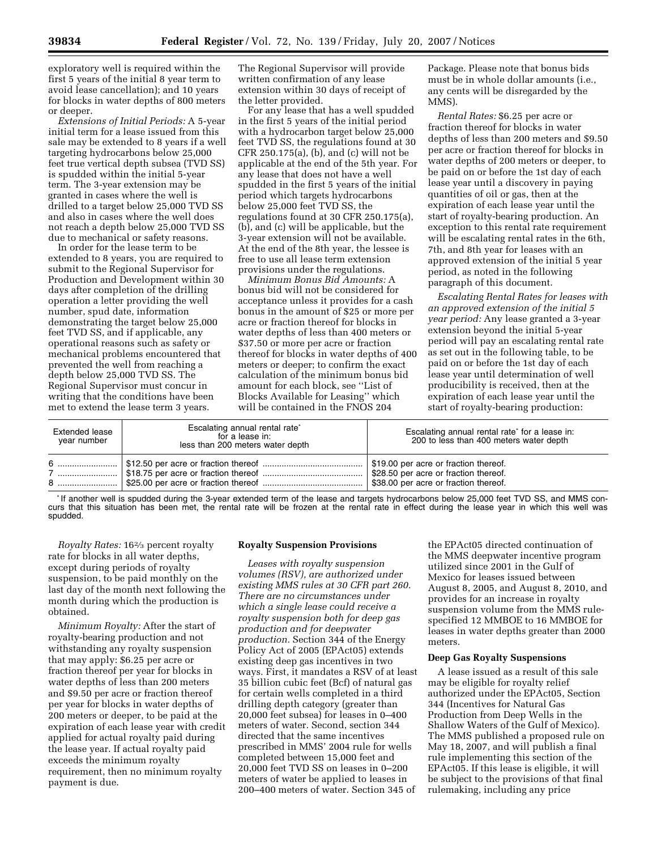exploratory well is required within the first 5 years of the initial 8 year term to avoid lease cancellation); and 10 years for blocks in water depths of 800 meters or deeper.

*Extensions of Initial Periods:* A 5-year initial term for a lease issued from this sale may be extended to 8 years if a well targeting hydrocarbons below 25,000 feet true vertical depth subsea (TVD SS) is spudded within the initial 5-year term. The 3-year extension may be granted in cases where the well is drilled to a target below 25,000 TVD SS and also in cases where the well does not reach a depth below 25,000 TVD SS due to mechanical or safety reasons.

In order for the lease term to be extended to 8 years, you are required to submit to the Regional Supervisor for Production and Development within 30 days after completion of the drilling operation a letter providing the well number, spud date, information demonstrating the target below 25,000 feet TVD SS, and if applicable, any operational reasons such as safety or mechanical problems encountered that prevented the well from reaching a depth below 25,000 TVD SS. The Regional Supervisor must concur in writing that the conditions have been met to extend the lease term 3 years.

The Regional Supervisor will provide written confirmation of any lease extension within 30 days of receipt of the letter provided.

For any lease that has a well spudded in the first 5 years of the initial period with a hydrocarbon target below 25,000 feet TVD SS, the regulations found at 30 CFR 250.175(a), (b), and (c) will not be applicable at the end of the 5th year. For any lease that does not have a well spudded in the first 5 years of the initial period which targets hydrocarbons below 25,000 feet TVD SS, the regulations found at 30 CFR 250.175(a), (b), and (c) will be applicable, but the 3-year extension will not be available. At the end of the 8th year, the lessee is free to use all lease term extension provisions under the regulations.

*Minimum Bonus Bid Amounts:* A bonus bid will not be considered for acceptance unless it provides for a cash bonus in the amount of \$25 or more per acre or fraction thereof for blocks in water depths of less than 400 meters or \$37.50 or more per acre or fraction thereof for blocks in water depths of 400 meters or deeper; to confirm the exact calculation of the minimum bonus bid amount for each block, see ''List of Blocks Available for Leasing'' which will be contained in the FNOS 204

Package. Please note that bonus bids must be in whole dollar amounts (i.e., any cents will be disregarded by the MMS).

*Rental Rates:* \$6.25 per acre or fraction thereof for blocks in water depths of less than 200 meters and \$9.50 per acre or fraction thereof for blocks in water depths of 200 meters or deeper, to be paid on or before the 1st day of each lease year until a discovery in paying quantities of oil or gas, then at the expiration of each lease year until the start of royalty-bearing production. An exception to this rental rate requirement will be escalating rental rates in the 6th, 7th, and 8th year for leases with an approved extension of the initial 5 year period, as noted in the following paragraph of this document.

*Escalating Rental Rates for leases with an approved extension of the initial 5 year period:* Any lease granted a 3-year extension beyond the initial 5-year period will pay an escalating rental rate as set out in the following table, to be paid on or before the 1st day of each lease year until determination of well producibility is received, then at the expiration of each lease year until the start of royalty-bearing production:

| <b>Extended lease</b><br>year number | Escalating annual rental rate*<br>for a lease in:<br>less than 200 meters water depth | Escalating annual rental rate* for a lease in:<br>200 to less than 400 meters water depth                               |
|--------------------------------------|---------------------------------------------------------------------------------------|-------------------------------------------------------------------------------------------------------------------------|
|                                      |                                                                                       | \$19.00 per acre or fraction thereof.<br>\$28.50 per acre or fraction thereof.<br>\$38.00 per acre or fraction thereof. |

\* If another well is spudded during the 3-year extended term of the lease and targets hydrocarbons below 25,000 feet TVD SS, and MMS concurs that this situation has been met, the rental rate will be frozen at the rental rate in effect during the lease year in which this well was spudded.

*Royalty Rates:* 162⁄3 percent royalty rate for blocks in all water depths, except during periods of royalty suspension, to be paid monthly on the last day of the month next following the month during which the production is obtained.

*Minimum Royalty:* After the start of royalty-bearing production and not withstanding any royalty suspension that may apply: \$6.25 per acre or fraction thereof per year for blocks in water depths of less than 200 meters and \$9.50 per acre or fraction thereof per year for blocks in water depths of 200 meters or deeper, to be paid at the expiration of each lease year with credit applied for actual royalty paid during the lease year. If actual royalty paid exceeds the minimum royalty requirement, then no minimum royalty payment is due.

#### **Royalty Suspension Provisions**

*Leases with royalty suspension volumes (RSV), are authorized under existing MMS rules at 30 CFR part 260. There are no circumstances under which a single lease could receive a royalty suspension both for deep gas production and for deepwater production.* Section 344 of the Energy Policy Act of 2005 (EPAct05) extends existing deep gas incentives in two ways. First, it mandates a RSV of at least 35 billion cubic feet (Bcf) of natural gas for certain wells completed in a third drilling depth category (greater than 20,000 feet subsea) for leases in 0–400 meters of water. Second, section 344 directed that the same incentives prescribed in MMS' 2004 rule for wells completed between 15,000 feet and 20,000 feet TVD SS on leases in 0–200 meters of water be applied to leases in 200–400 meters of water. Section 345 of

the EPAct05 directed continuation of the MMS deepwater incentive program utilized since 2001 in the Gulf of Mexico for leases issued between August 8, 2005, and August 8, 2010, and provides for an increase in royalty suspension volume from the MMS rulespecified 12 MMBOE to 16 MMBOE for leases in water depths greater than 2000 meters.

### **Deep Gas Royalty Suspensions**

A lease issued as a result of this sale may be eligible for royalty relief authorized under the EPAct05, Section 344 (Incentives for Natural Gas Production from Deep Wells in the Shallow Waters of the Gulf of Mexico). The MMS published a proposed rule on May 18, 2007, and will publish a final rule implementing this section of the EPAct05. If this lease is eligible, it will be subject to the provisions of that final rulemaking, including any price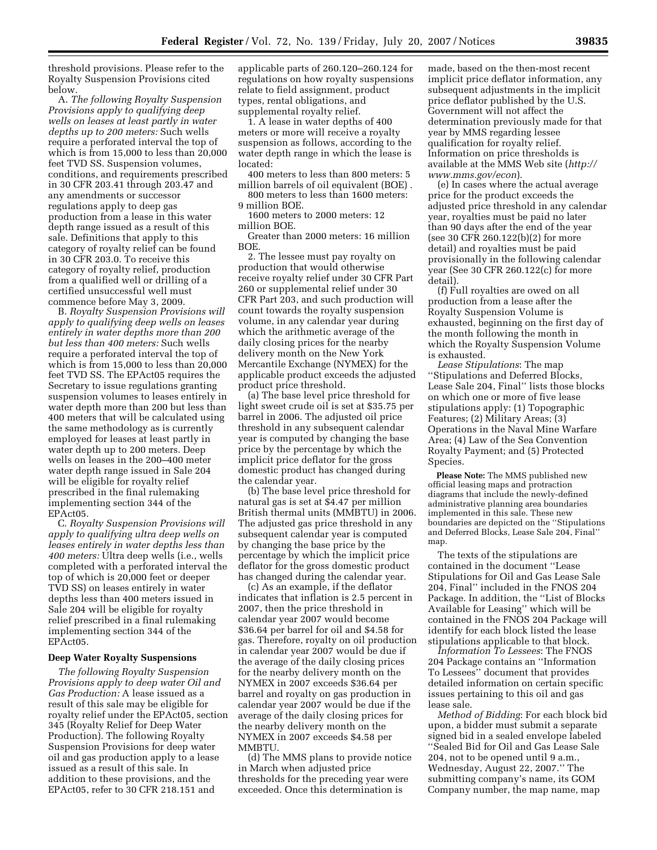threshold provisions. Please refer to the Royalty Suspension Provisions cited below.

A. *The following Royalty Suspension Provisions apply to qualifying deep wells on leases at least partly in water depths up to 200 meters:* Such wells require a perforated interval the top of which is from 15,000 to less than 20,000 feet TVD SS. Suspension volumes, conditions, and requirements prescribed in 30 CFR 203.41 through 203.47 and any amendments or successor regulations apply to deep gas production from a lease in this water depth range issued as a result of this sale. Definitions that apply to this category of royalty relief can be found in 30 CFR 203.0. To receive this category of royalty relief, production from a qualified well or drilling of a certified unsuccessful well must commence before May 3, 2009.

B. *Royalty Suspension Provisions will apply to qualifying deep wells on leases entirely in water depths more than 200 but less than 400 meters:* Such wells require a perforated interval the top of which is from 15,000 to less than 20,000 feet TVD SS. The EPAct05 requires the Secretary to issue regulations granting suspension volumes to leases entirely in water depth more than 200 but less than 400 meters that will be calculated using the same methodology as is currently employed for leases at least partly in water depth up to 200 meters. Deep wells on leases in the 200–400 meter water depth range issued in Sale 204 will be eligible for royalty relief prescribed in the final rulemaking implementing section 344 of the EPAct05.

C. *Royalty Suspension Provisions will apply to qualifying ultra deep wells on leases entirely in water depths less than 400 meters:* Ultra deep wells (i.e., wells completed with a perforated interval the top of which is 20,000 feet or deeper TVD SS) on leases entirely in water depths less than 400 meters issued in Sale 204 will be eligible for royalty relief prescribed in a final rulemaking implementing section 344 of the EPAct05.

#### **Deep Water Royalty Suspensions**

*The following Royalty Suspension Provisions apply to deep water Oil and Gas Production:* A lease issued as a result of this sale may be eligible for royalty relief under the EPAct05, section 345 (Royalty Relief for Deep Water Production). The following Royalty Suspension Provisions for deep water oil and gas production apply to a lease issued as a result of this sale. In addition to these provisions, and the EPAct05, refer to 30 CFR 218.151 and

applicable parts of 260.120–260.124 for regulations on how royalty suspensions relate to field assignment, product types, rental obligations, and supplemental royalty relief.

1. A lease in water depths of 400 meters or more will receive a royalty suspension as follows, according to the water depth range in which the lease is located:

400 meters to less than 800 meters: 5 million barrels of oil equivalent (BOE) .

800 meters to less than 1600 meters: 9 million BOE.

1600 meters to 2000 meters: 12 million BOE.

Greater than 2000 meters: 16 million **BOE** 

2. The lessee must pay royalty on production that would otherwise receive royalty relief under 30 CFR Part 260 or supplemental relief under 30 CFR Part 203, and such production will count towards the royalty suspension volume, in any calendar year during which the arithmetic average of the daily closing prices for the nearby delivery month on the New York Mercantile Exchange (NYMEX) for the applicable product exceeds the adjusted product price threshold.

(a) The base level price threshold for light sweet crude oil is set at \$35.75 per barrel in 2006. The adjusted oil price threshold in any subsequent calendar year is computed by changing the base price by the percentage by which the implicit price deflator for the gross domestic product has changed during the calendar year.

(b) The base level price threshold for natural gas is set at \$4.47 per million British thermal units (MMBTU) in 2006. The adjusted gas price threshold in any subsequent calendar year is computed by changing the base price by the percentage by which the implicit price deflator for the gross domestic product has changed during the calendar year.

(c) As an example, if the deflator indicates that inflation is 2.5 percent in 2007, then the price threshold in calendar year 2007 would become \$36.64 per barrel for oil and \$4.58 for gas. Therefore, royalty on oil production in calendar year 2007 would be due if the average of the daily closing prices for the nearby delivery month on the NYMEX in 2007 exceeds \$36.64 per barrel and royalty on gas production in calendar year 2007 would be due if the average of the daily closing prices for the nearby delivery month on the NYMEX in 2007 exceeds \$4.58 per MMBTU.

(d) The MMS plans to provide notice in March when adjusted price thresholds for the preceding year were exceeded. Once this determination is

made, based on the then-most recent implicit price deflator information, any subsequent adjustments in the implicit price deflator published by the U.S. Government will not affect the determination previously made for that year by MMS regarding lessee qualification for royalty relief. Information on price thresholds is available at the MMS Web site (*http:// www.mms.gov/econ*).

(e) In cases where the actual average price for the product exceeds the adjusted price threshold in any calendar year, royalties must be paid no later than 90 days after the end of the year (see 30 CFR 260.122(b)(2) for more detail) and royalties must be paid provisionally in the following calendar year (See 30 CFR 260.122(c) for more detail).

(f) Full royalties are owed on all production from a lease after the Royalty Suspension Volume is exhausted, beginning on the first day of the month following the month in which the Royalty Suspension Volume is exhausted.

*Lease Stipulations*: The map ''Stipulations and Deferred Blocks, Lease Sale 204, Final'' lists those blocks on which one or more of five lease stipulations apply: (1) Topographic Features; (2) Military Areas; (3) Operations in the Naval Mine Warfare Area; (4) Law of the Sea Convention Royalty Payment; and (5) Protected Species.

**Please Note:** The MMS published new official leasing maps and protraction diagrams that include the newly-defined administrative planning area boundaries implemented in this sale. These new boundaries are depicted on the ''Stipulations and Deferred Blocks, Lease Sale 204, Final'' map.

The texts of the stipulations are contained in the document ''Lease Stipulations for Oil and Gas Lease Sale 204, Final'' included in the FNOS 204 Package. In addition, the ''List of Blocks Available for Leasing'' which will be contained in the FNOS 204 Package will identify for each block listed the lease stipulations applicable to that block.

*Information To Lessees*: The FNOS 204 Package contains an ''Information To Lessees'' document that provides detailed information on certain specific issues pertaining to this oil and gas lease sale.

*Method of Bidding*: For each block bid upon, a bidder must submit a separate signed bid in a sealed envelope labeled ''Sealed Bid for Oil and Gas Lease Sale 204, not to be opened until 9 a.m., Wednesday, August 22, 2007.'' The submitting company's name, its GOM Company number, the map name, map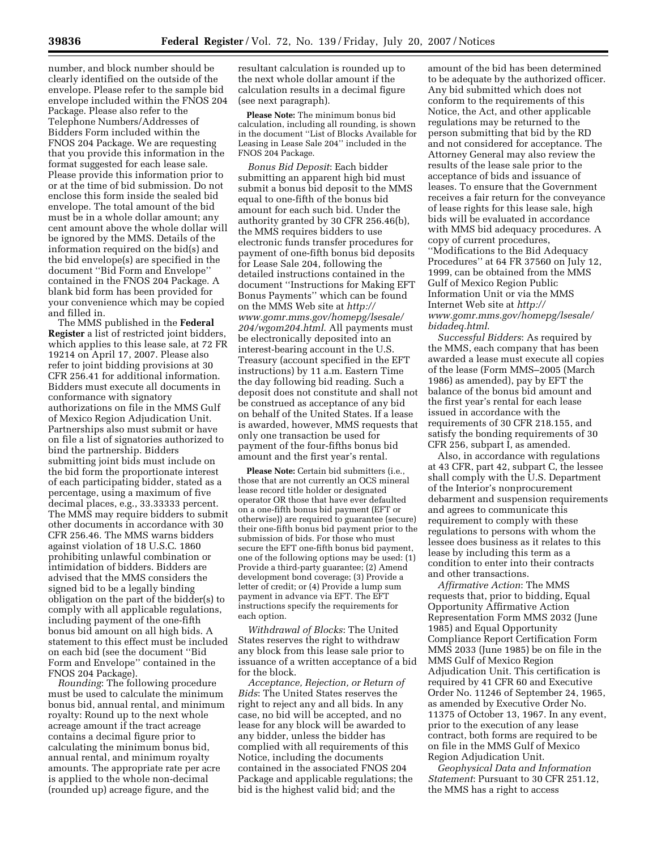number, and block number should be clearly identified on the outside of the envelope. Please refer to the sample bid envelope included within the FNOS 204 Package. Please also refer to the Telephone Numbers/Addresses of Bidders Form included within the FNOS 204 Package. We are requesting that you provide this information in the format suggested for each lease sale. Please provide this information prior to or at the time of bid submission. Do not enclose this form inside the sealed bid envelope. The total amount of the bid must be in a whole dollar amount; any cent amount above the whole dollar will be ignored by the MMS. Details of the information required on the bid(s) and the bid envelope(s) are specified in the document ''Bid Form and Envelope'' contained in the FNOS 204 Package. A blank bid form has been provided for your convenience which may be copied and filled in.

The MMS published in the **Federal Register** a list of restricted joint bidders, which applies to this lease sale, at 72 FR 19214 on April 17, 2007. Please also refer to joint bidding provisions at 30 CFR 256.41 for additional information. Bidders must execute all documents in conformance with signatory authorizations on file in the MMS Gulf of Mexico Region Adjudication Unit. Partnerships also must submit or have on file a list of signatories authorized to bind the partnership. Bidders submitting joint bids must include on the bid form the proportionate interest of each participating bidder, stated as a percentage, using a maximum of five decimal places, e.g., 33.33333 percent. The MMS may require bidders to submit other documents in accordance with 30 CFR 256.46. The MMS warns bidders against violation of 18 U.S.C. 1860 prohibiting unlawful combination or intimidation of bidders. Bidders are advised that the MMS considers the signed bid to be a legally binding obligation on the part of the bidder(s) to comply with all applicable regulations, including payment of the one-fifth bonus bid amount on all high bids. A statement to this effect must be included on each bid (see the document ''Bid Form and Envelope'' contained in the FNOS 204 Package).

*Rounding*: The following procedure must be used to calculate the minimum bonus bid, annual rental, and minimum royalty: Round up to the next whole acreage amount if the tract acreage contains a decimal figure prior to calculating the minimum bonus bid, annual rental, and minimum royalty amounts. The appropriate rate per acre is applied to the whole non-decimal (rounded up) acreage figure, and the

resultant calculation is rounded up to the next whole dollar amount if the calculation results in a decimal figure (see next paragraph).

**Please Note:** The minimum bonus bid calculation, including all rounding, is shown in the document ''List of Blocks Available for Leasing in Lease Sale 204'' included in the FNOS 204 Package.

*Bonus Bid Deposit*: Each bidder submitting an apparent high bid must submit a bonus bid deposit to the MMS equal to one-fifth of the bonus bid amount for each such bid. Under the authority granted by 30 CFR 256.46(b), the MMS requires bidders to use electronic funds transfer procedures for payment of one-fifth bonus bid deposits for Lease Sale 204, following the detailed instructions contained in the document ''Instructions for Making EFT Bonus Payments'' which can be found on the MMS Web site at *http:// www.gomr.mms.gov/homepg/lsesale/ 204/wgom204.html*. All payments must be electronically deposited into an interest-bearing account in the U.S. Treasury (account specified in the EFT instructions) by 11 a.m. Eastern Time the day following bid reading. Such a deposit does not constitute and shall not be construed as acceptance of any bid on behalf of the United States. If a lease is awarded, however, MMS requests that only one transaction be used for payment of the four-fifths bonus bid amount and the first year's rental.

**Please Note:** Certain bid submitters (i.e., those that are not currently an OCS mineral lease record title holder or designated operator OR those that have ever defaulted on a one-fifth bonus bid payment (EFT or otherwise)) are required to guarantee (secure) their one-fifth bonus bid payment prior to the submission of bids. For those who must secure the EFT one-fifth bonus bid payment, one of the following options may be used: (1) Provide a third-party guarantee; (2) Amend development bond coverage; (3) Provide a letter of credit; or (4) Provide a lump sum payment in advance via EFT. The EFT instructions specify the requirements for each option.

*Withdrawal of Blocks*: The United States reserves the right to withdraw any block from this lease sale prior to issuance of a written acceptance of a bid for the block.

*Acceptance, Rejection, or Return of Bids*: The United States reserves the right to reject any and all bids. In any case, no bid will be accepted, and no lease for any block will be awarded to any bidder, unless the bidder has complied with all requirements of this Notice, including the documents contained in the associated FNOS 204 Package and applicable regulations; the bid is the highest valid bid; and the

amount of the bid has been determined to be adequate by the authorized officer. Any bid submitted which does not conform to the requirements of this Notice, the Act, and other applicable regulations may be returned to the person submitting that bid by the RD and not considered for acceptance. The Attorney General may also review the results of the lease sale prior to the acceptance of bids and issuance of leases. To ensure that the Government receives a fair return for the conveyance of lease rights for this lease sale, high bids will be evaluated in accordance with MMS bid adequacy procedures. A copy of current procedures, ''Modifications to the Bid Adequacy Procedures'' at 64 FR 37560 on July 12, 1999, can be obtained from the MMS Gulf of Mexico Region Public Information Unit or via the MMS Internet Web site at *http:// www.gomr.mms.gov/homepg/lsesale/ bidadeq.html*.

*Successful Bidders*: As required by the MMS, each company that has been awarded a lease must execute all copies of the lease (Form MMS–2005 (March 1986) as amended), pay by EFT the balance of the bonus bid amount and the first year's rental for each lease issued in accordance with the requirements of 30 CFR 218.155, and satisfy the bonding requirements of 30 CFR 256, subpart I, as amended.

Also, in accordance with regulations at 43 CFR, part 42, subpart C, the lessee shall comply with the U.S. Department of the Interior's nonprocurement debarment and suspension requirements and agrees to communicate this requirement to comply with these regulations to persons with whom the lessee does business as it relates to this lease by including this term as a condition to enter into their contracts and other transactions.

*Affirmative Action*: The MMS requests that, prior to bidding, Equal Opportunity Affirmative Action Representation Form MMS 2032 (June 1985) and Equal Opportunity Compliance Report Certification Form MMS 2033 (June 1985) be on file in the MMS Gulf of Mexico Region Adjudication Unit. This certification is required by 41 CFR 60 and Executive Order No. 11246 of September 24, 1965, as amended by Executive Order No. 11375 of October 13, 1967. In any event, prior to the execution of any lease contract, both forms are required to be on file in the MMS Gulf of Mexico Region Adjudication Unit.

*Geophysical Data and Information Statement*: Pursuant to 30 CFR 251.12, the MMS has a right to access